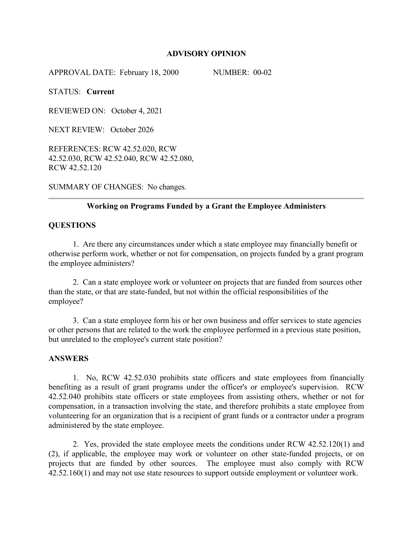### **ADVISORY OPINION**

APPROVAL DATE: February 18, 2000 NUMBER: 00-02

STATUS: **Current** 

REVIEWED ON: October 4, 2021

NEXT REVIEW: October 2026

REFERENCES: RCW 42.52.020, RCW 42.52.030, RCW 42.52.040, RCW 42.52.080, RCW 42.52.120

SUMMARY OF CHANGES: No changes.

### **Working on Programs Funded by a Grant the Employee Administers**

### **QUESTIONS**

1. Are there any circumstances under which a state employee may financially benefit or otherwise perform work, whether or not for compensation, on projects funded by a grant program the employee administers?

2. Can a state employee work or volunteer on projects that are funded from sources other than the state, or that are state-funded, but not within the official responsibilities of the employee?

3. Can a state employee form his or her own business and offer services to state agencies or other persons that are related to the work the employee performed in a previous state position, but unrelated to the employee's current state position?

#### **ANSWERS**

1. No, RCW 42.52.030 prohibits state officers and state employees from financially benefiting as a result of grant programs under the officer's or employee's supervision. RCW 42.52.040 prohibits state officers or state employees from assisting others, whether or not for compensation, in a transaction involving the state, and therefore prohibits a state employee from volunteering for an organization that is a recipient of grant funds or a contractor under a program administered by the state employee.

2. Yes, provided the state employee meets the conditions under RCW 42.52.120(1) and (2), if applicable, the employee may work or volunteer on other state-funded projects, or on projects that are funded by other sources. The employee must also comply with RCW 42.52.160(1) and may not use state resources to support outside employment or volunteer work.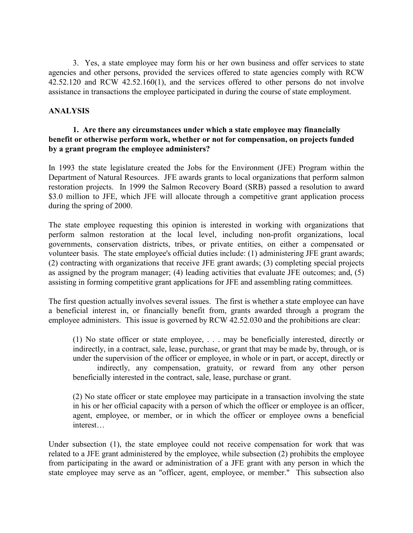3. Yes, a state employee may form his or her own business and offer services to state agencies and other persons, provided the services offered to state agencies comply with RCW 42.52.120 and RCW 42.52.160(1), and the services offered to other persons do not involve assistance in transactions the employee participated in during the course of state employment.

## **ANALYSIS**

## **1. Are there any circumstances under which a state employee may financially benefit or otherwise perform work, whether or not for compensation, on projects funded by a grant program the employee administers?**

In 1993 the state legislature created the Jobs for the Environment (JFE) Program within the Department of Natural Resources. JFE awards grants to local organizations that perform salmon restoration projects. In 1999 the Salmon Recovery Board (SRB) passed a resolution to award \$3.0 million to JFE, which JFE will allocate through a competitive grant application process during the spring of 2000.

The state employee requesting this opinion is interested in working with organizations that perform salmon restoration at the local level, including non-profit organizations, local governments, conservation districts, tribes, or private entities, on either a compensated or volunteer basis. The state employee's official duties include: (1) administering JFE grant awards; (2) contracting with organizations that receive JFE grant awards; (3) completing special projects as assigned by the program manager; (4) leading activities that evaluate JFE outcomes; and, (5) assisting in forming competitive grant applications for JFE and assembling rating committees.

The first question actually involves several issues. The first is whether a state employee can have a beneficial interest in, or financially benefit from, grants awarded through a program the employee administers. This issue is governed by RCW 42.52.030 and the prohibitions are clear:

(1) No state officer or state employee, . . . may be beneficially interested, directly or indirectly, in a contract, sale, lease, purchase, or grant that may be made by, through, or is under the supervision of the officer or employee, in whole or in part, or accept, directly or indirectly, any compensation, gratuity, or reward from any other person beneficially interested in the contract, sale, lease, purchase or grant.

(2) No state officer or state employee may participate in a transaction involving the state in his or her official capacity with a person of which the officer or employee is an officer, agent, employee, or member, or in which the officer or employee owns a beneficial interest…

Under subsection (1), the state employee could not receive compensation for work that was related to a JFE grant administered by the employee, while subsection (2) prohibits the employee from participating in the award or administration of a JFE grant with any person in which the state employee may serve as an "officer, agent, employee, or member." This subsection also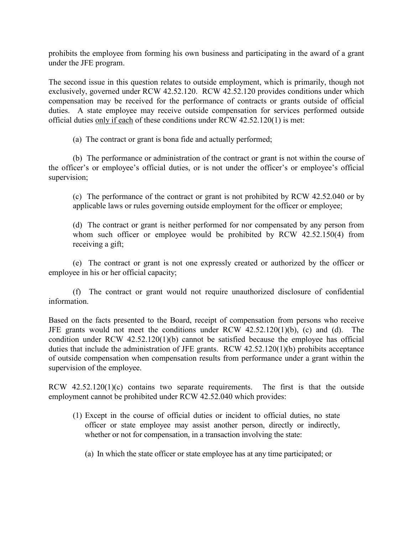prohibits the employee from forming his own business and participating in the award of a grant under the JFE program.

The second issue in this question relates to outside employment, which is primarily, though not exclusively, governed under RCW 42.52.120. RCW 42.52.120 provides conditions under which compensation may be received for the performance of contracts or grants outside of official duties. A state employee may receive outside compensation for services performed outside official duties only if each of these conditions under RCW 42.52.120(1) is met:

(a) The contract or grant is bona fide and actually performed;

(b) The performance or administration of the contract or grant is not within the course of the officer's or employee's official duties, or is not under the officer's or employee's official supervision;

(c) The performance of the contract or grant is not prohibited by RCW 42.52.040 or by applicable laws or rules governing outside employment for the officer or employee;

(d) The contract or grant is neither performed for nor compensated by any person from whom such officer or employee would be prohibited by RCW 42.52.150(4) from receiving a gift;

(e) The contract or grant is not one expressly created or authorized by the officer or employee in his or her official capacity;

(f) The contract or grant would not require unauthorized disclosure of confidential information.

Based on the facts presented to the Board, receipt of compensation from persons who receive JFE grants would not meet the conditions under RCW 42.52.120(1)(b), (c) and (d). The condition under RCW 42.52.120(1)(b) cannot be satisfied because the employee has official duties that include the administration of JFE grants. RCW 42.52.120(1)(b) prohibits acceptance of outside compensation when compensation results from performance under a grant within the supervision of the employee.

RCW 42.52.120(1)(c) contains two separate requirements. The first is that the outside employment cannot be prohibited under RCW 42.52.040 which provides:

- (1) Except in the course of official duties or incident to official duties, no state officer or state employee may assist another person, directly or indirectly, whether or not for compensation, in a transaction involving the state:
	- (a) In which the state officer or state employee has at any time participated; or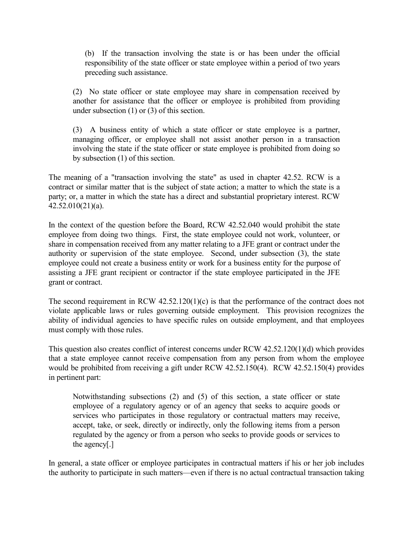(b) If the transaction involving the state is or has been under the official responsibility of the state officer or state employee within a period of two years preceding such assistance.

(2) No state officer or state employee may share in compensation received by another for assistance that the officer or employee is prohibited from providing under subsection (1) or (3) of this section.

(3) A business entity of which a state officer or state employee is a partner, managing officer, or employee shall not assist another person in a transaction involving the state if the state officer or state employee is prohibited from doing so by subsection (1) of this section.

The meaning of a "transaction involving the state" as used in chapter 42.52. RCW is a contract or similar matter that is the subject of state action; a matter to which the state is a party; or, a matter in which the state has a direct and substantial proprietary interest. RCW 42.52.010(21)(a).

In the context of the question before the Board, RCW 42.52.040 would prohibit the state employee from doing two things. First, the state employee could not work, volunteer, or share in compensation received from any matter relating to a JFE grant or contract under the authority or supervision of the state employee. Second, under subsection (3), the state employee could not create a business entity or work for a business entity for the purpose of assisting a JFE grant recipient or contractor if the state employee participated in the JFE grant or contract.

The second requirement in RCW 42.52.120(1)(c) is that the performance of the contract does not violate applicable laws or rules governing outside employment. This provision recognizes the ability of individual agencies to have specific rules on outside employment, and that employees must comply with those rules.

This question also creates conflict of interest concerns under RCW 42.52.120(1)(d) which provides that a state employee cannot receive compensation from any person from whom the employee would be prohibited from receiving a gift under RCW 42.52.150(4). RCW 42.52.150(4) provides in pertinent part:

Notwithstanding subsections (2) and (5) of this section, a state officer or state employee of a regulatory agency or of an agency that seeks to acquire goods or services who participates in those regulatory or contractual matters may receive, accept, take, or seek, directly or indirectly, only the following items from a person regulated by the agency or from a person who seeks to provide goods or services to the agency[.]

In general, a state officer or employee participates in contractual matters if his or her job includes the authority to participate in such matters—even if there is no actual contractual transaction taking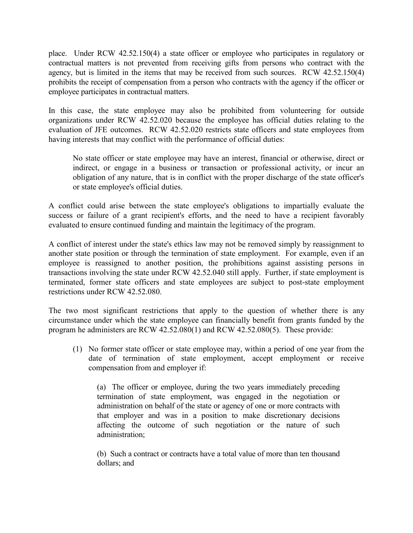place. Under RCW 42.52.150(4) a state officer or employee who participates in regulatory or contractual matters is not prevented from receiving gifts from persons who contract with the agency, but is limited in the items that may be received from such sources. RCW 42.52.150(4) prohibits the receipt of compensation from a person who contracts with the agency if the officer or employee participates in contractual matters.

In this case, the state employee may also be prohibited from volunteering for outside organizations under RCW 42.52.020 because the employee has official duties relating to the evaluation of JFE outcomes. RCW 42.52.020 restricts state officers and state employees from having interests that may conflict with the performance of official duties:

No state officer or state employee may have an interest, financial or otherwise, direct or indirect, or engage in a business or transaction or professional activity, or incur an obligation of any nature, that is in conflict with the proper discharge of the state officer's or state employee's official duties.

A conflict could arise between the state employee's obligations to impartially evaluate the success or failure of a grant recipient's efforts, and the need to have a recipient favorably evaluated to ensure continued funding and maintain the legitimacy of the program.

A conflict of interest under the state's ethics law may not be removed simply by reassignment to another state position or through the termination of state employment. For example, even if an employee is reassigned to another position, the prohibitions against assisting persons in transactions involving the state under RCW 42.52.040 still apply. Further, if state employment is terminated, former state officers and state employees are subject to post-state employment restrictions under RCW 42.52.080.

The two most significant restrictions that apply to the question of whether there is any circumstance under which the state employee can financially benefit from grants funded by the program he administers are RCW 42.52.080(1) and RCW 42.52.080(5). These provide:

(1) No former state officer or state employee may, within a period of one year from the date of termination of state employment, accept employment or receive compensation from and employer if:

(a) The officer or employee, during the two years immediately preceding termination of state employment, was engaged in the negotiation or administration on behalf of the state or agency of one or more contracts with that employer and was in a position to make discretionary decisions affecting the outcome of such negotiation or the nature of such administration;

(b) Such a contract or contracts have a total value of more than ten thousand dollars; and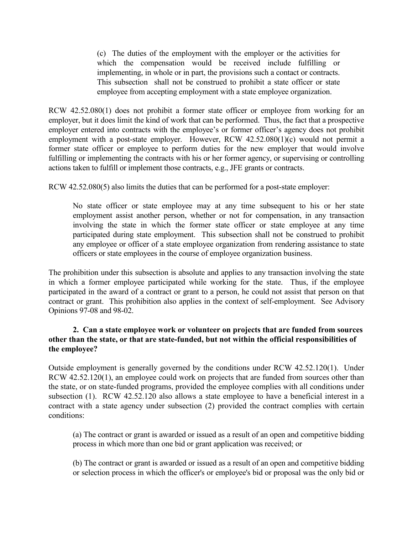(c) The duties of the employment with the employer or the activities for which the compensation would be received include fulfilling or implementing, in whole or in part, the provisions such a contact or contracts. This subsection shall not be construed to prohibit a state officer or state employee from accepting employment with a state employee organization.

RCW 42.52.080(1) does not prohibit a former state officer or employee from working for an employer, but it does limit the kind of work that can be performed. Thus, the fact that a prospective employer entered into contracts with the employee's or former officer's agency does not prohibit employment with a post-state employer. However, RCW 42.52.080(1)(c) would not permit a former state officer or employee to perform duties for the new employer that would involve fulfilling or implementing the contracts with his or her former agency, or supervising or controlling actions taken to fulfill or implement those contracts, e.g., JFE grants or contracts.

RCW 42.52.080(5) also limits the duties that can be performed for a post-state employer:

No state officer or state employee may at any time subsequent to his or her state employment assist another person, whether or not for compensation, in any transaction involving the state in which the former state officer or state employee at any time participated during state employment. This subsection shall not be construed to prohibit any employee or officer of a state employee organization from rendering assistance to state officers or state employees in the course of employee organization business.

The prohibition under this subsection is absolute and applies to any transaction involving the state in which a former employee participated while working for the state. Thus, if the employee participated in the award of a contract or grant to a person, he could not assist that person on that contract or grant. This prohibition also applies in the context of self-employment. See Advisory Opinions 97-08 and 98-02.

# **2. Can a state employee work or volunteer on projects that are funded from sources other than the state, or that are state-funded, but not within the official responsibilities of the employee?**

Outside employment is generally governed by the conditions under RCW 42.52.120(1). Under RCW 42.52.120(1), an employee could work on projects that are funded from sources other than the state, or on state-funded programs, provided the employee complies with all conditions under subsection (1). RCW 42.52.120 also allows a state employee to have a beneficial interest in a contract with a state agency under subsection (2) provided the contract complies with certain conditions:

(a) The contract or grant is awarded or issued as a result of an open and competitive bidding process in which more than one bid or grant application was received; or

(b) The contract or grant is awarded or issued as a result of an open and competitive bidding or selection process in which the officer's or employee's bid or proposal was the only bid or